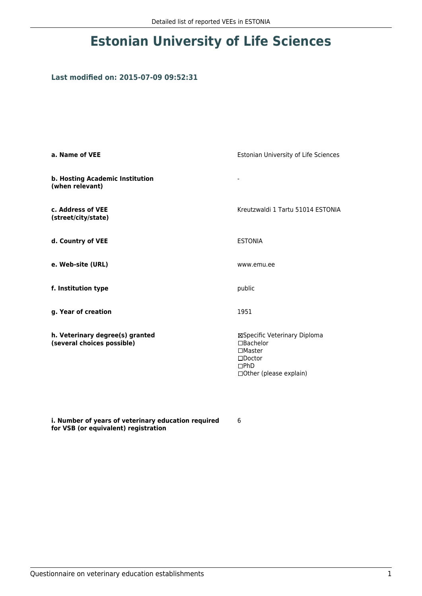## **Estonian University of Life Sciences**

## **Last modified on: 2015-07-09 09:52:31**

| a. Name of VEE                                                | Estonian University of Life Sciences                                                                               |  |
|---------------------------------------------------------------|--------------------------------------------------------------------------------------------------------------------|--|
| b. Hosting Academic Institution<br>(when relevant)            | ۰                                                                                                                  |  |
| c. Address of VEE<br>(street/city/state)                      | Kreutzwaldi 1 Tartu 51014 ESTONIA                                                                                  |  |
| d. Country of VEE                                             | <b>ESTONIA</b>                                                                                                     |  |
| e. Web-site (URL)                                             | www.emu.ee                                                                                                         |  |
| f. Institution type                                           | public                                                                                                             |  |
| g. Year of creation                                           | 1951                                                                                                               |  |
| h. Veterinary degree(s) granted<br>(several choices possible) | ⊠Specific Veterinary Diploma<br>□Bachelor<br>$\Box$ Master<br>$\square$ Doctor<br>DPhD<br>□ Other (please explain) |  |

**i. Number of years of veterinary education required for VSB (or equivalent) registration**

6